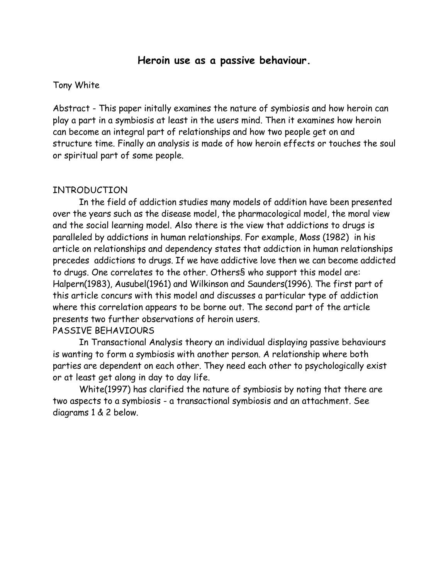# **Heroin use as a passive behaviour.**

#### Tony White

Abstract - This paper initally examines the nature of symbiosis and how heroin can play a part in a symbiosis at least in the users mind. Then it examines how heroin can become an integral part of relationships and how two people get on and structure time. Finally an analysis is made of how heroin effects or touches the soul or spiritual part of some people.

### INTRODUCTION

In the field of addiction studies many models of addition have been presented over the years such as the disease model, the pharmacological model, the moral view and the social learning model. Also there is the view that addictions to drugs is paralleled by addictions in human relationships. For example, Moss (1982) in his article on relationships and dependency states that addiction in human relationships precedes addictions to drugs. If we have addictive love then we can become addicted to drugs. One correlates to the other. Others§ who support this model are: Halpern(1983), Ausubel(1961) and Wilkinson and Saunders(1996). The first part of this article concurs with this model and discusses a particular type of addiction where this correlation appears to be borne out. The second part of the article presents two further observations of heroin users.

### PASSIVE BEHAVIOURS

In Transactional Analysis theory an individual displaying passive behaviours is wanting to form a symbiosis with another person. A relationship where both parties are dependent on each other. They need each other to psychologically exist or at least get along in day to day life.

White(1997) has clarified the nature of symbiosis by noting that there are two aspects to a symbiosis - a transactional symbiosis and an attachment. See diagrams 1 & 2 below.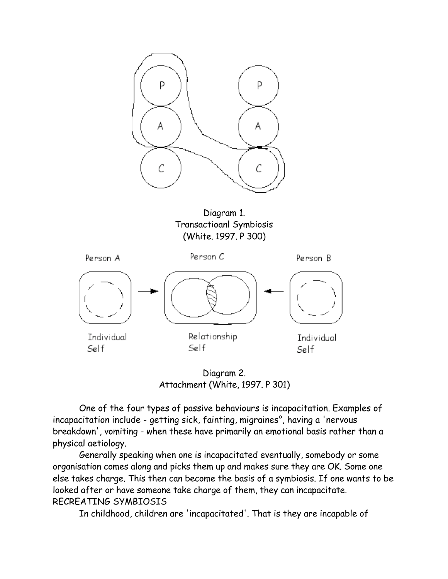

Diagram 1. Transactioanl Symbiosis (White. 1997. P 300)



Diagram 2. Attachment (White, 1997. P 301)

One of the four types of passive behaviours is incapacitation. Examples of incapacitation include - getting sick, fainting, migraines°, having a 'nervous breakdown', vomiting - when these have primarily an emotional basis rather than a physical aetiology.

Generally speaking when one is incapacitated eventually, somebody or some organisation comes along and picks them up and makes sure they are OK. Some one else takes charge. This then can become the basis of a symbiosis. If one wants to be looked after or have someone take charge of them, they can incapacitate. RECREATING SYMBIOSIS

In childhood, children are 'incapacitated'. That is they are incapable of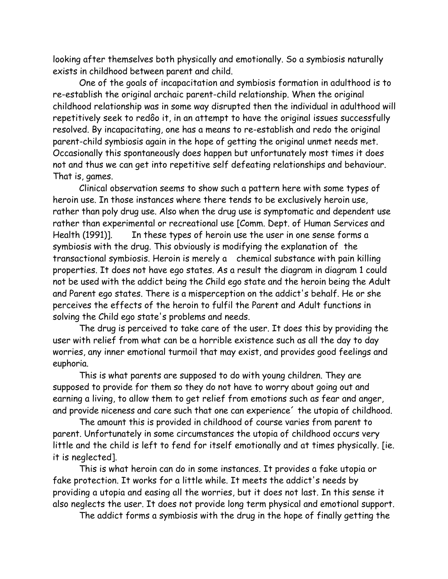looking after themselves both physically and emotionally. So a symbiosis naturally exists in childhood between parent and child.

One of the goals of incapacitation and symbiosis formation in adulthood is to re-establish the original archaic parent-child relationship. When the original childhood relationship was in some way disrupted then the individual in adulthood will repetitively seek to redôo it, in an attempt to have the original issues successfully resolved. By incapacitating, one has a means to re-establish and redo the original parent-child symbiosis again in the hope of getting the original unmet needs met. Occasionally this spontaneously does happen but unfortunately most times it does not and thus we can get into repetitive self defeating relationships and behaviour. That is, games.

Clinical observation seems to show such a pattern here with some types of heroin use. In those instances where there tends to be exclusively heroin use, rather than poly drug use. Also when the drug use is symptomatic and dependent use rather than experimental or recreational use [Comm. Dept. of Human Services and Health (1991)]. In these types of heroin use the user in one sense forms a symbiosis with the drug. This obviously is modifying the explanation of the transactional symbiosis. Heroin is merely a chemical substance with pain killing properties. It does not have ego states. As a result the diagram in diagram 1 could not be used with the addict being the Child ego state and the heroin being the Adult and Parent ego states. There is a misperception on the addict's behalf. He or she perceives the effects of the heroin to fulfil the Parent and Adult functions in solving the Child ego state's problems and needs.

The drug is perceived to take care of the user. It does this by providing the user with relief from what can be a horrible existence such as all the day to day worries, any inner emotional turmoil that may exist, and provides good feelings and euphoria.

This is what parents are supposed to do with young children. They are supposed to provide for them so they do not have to worry about going out and earning a living, to allow them to get relief from emotions such as fear and anger, and provide niceness and care such that one can experience´ the utopia of childhood.

The amount this is provided in childhood of course varies from parent to parent. Unfortunately in some circumstances the utopia of childhood occurs very little and the child is left to fend for itself emotionally and at times physically. [ie. it is neglected].

This is what heroin can do in some instances. It provides a fake utopia or fake protection. It works for a little while. It meets the addict's needs by providing a utopia and easing all the worries, but it does not last. In this sense it also neglects the user. It does not provide long term physical and emotional support.

The addict forms a symbiosis with the drug in the hope of finally getting the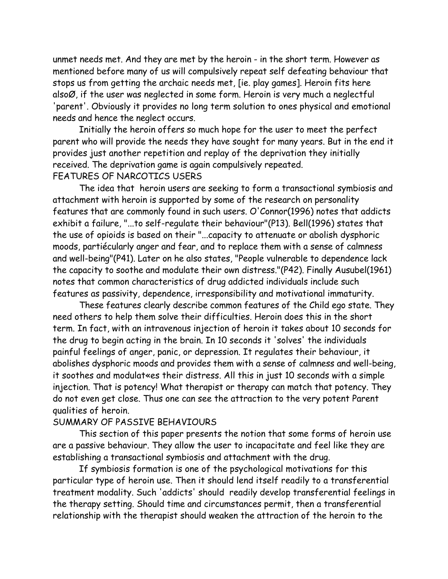unmet needs met. And they are met by the heroin - in the short term. However as mentioned before many of us will compulsively repeat self defeating behaviour that stops us from getting the archaic needs met, [ie. play games]. Heroin fits here alsoØ, if the user was neglected in some form. Heroin is very much a neglectful 'parent'. Obviously it provides no long term solution to ones physical and emotional needs and hence the neglect occurs.

Initially the heroin offers so much hope for the user to meet the perfect parent who will provide the needs they have sought for many years. But in the end it provides just another repetition and replay of the deprivation they initially received. The deprivation game is again compulsively repeated. FEATURES OF NARCOTICS USERS

The idea that heroin users are seeking to form a transactional symbiosis and attachment with heroin is supported by some of the research on personality features that are commonly found in such users. O'Connor(1996) notes that addicts exhibit a failure, "...to self-regulate their behaviour"(P13). Bell(1996) states that the use of opioids is based on their "...capacity to attenuate or abolish dysphoric moods, partiécularly anger and fear, and to replace them with a sense of calmness and well-being"(P41). Later on he also states, "People vulnerable to dependence lack the capacity to soothe and modulate their own distress."(P42). Finally Ausubel(1961) notes that common characteristics of drug addicted individuals include such features as passivity, dependence, irresponsibility and motivational immaturity.

These features clearly describe common features of the Child ego state. They need others to help them solve their difficulties. Heroin does this in the short term. In fact, with an intravenous injection of heroin it takes about 10 seconds for the drug to begin acting in the brain. In 10 seconds it 'solves' the individuals painful feelings of anger, panic, or depression. It regulates their behaviour, it abolishes dysphoric moods and provides them with a sense of calmness and well-being, it soothes and modulat«es their distress. All this in just 10 seconds with a simple injection. That is potency! What therapist or therapy can match that potency. They do not even get close. Thus one can see the attraction to the very potent Parent qualities of heroin.

#### SUMMARY OF PASSIVE BEHAVIOURS

This section of this paper presents the notion that some forms of heroin use are a passive behaviour. They allow the user to incapacitate and feel like they are establishing a transactional symbiosis and attachment with the drug.

If symbiosis formation is one of the psychological motivations for this particular type of heroin use. Then it should lend itself readily to a transferential treatment modality. Such 'addicts' should readily develop transferential feelings in the therapy setting. Should time and circumstances permit, then a transferential relationship with the therapist should weaken the attraction of the heroin to the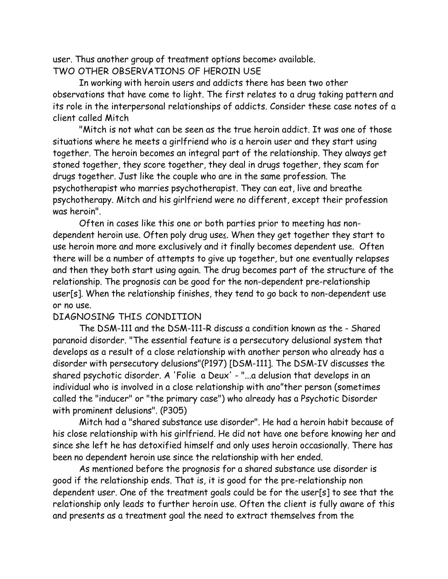user. Thus another group of treatment options become› available. TWO OTHER OBSERVATIONS OF HEROIN USE

In working with heroin users and addicts there has been two other observations that have come to light. The first relates to a drug taking pattern and its role in the interpersonal relationships of addicts. Consider these case notes of a client called Mitch

"Mitch is not what can be seen as the true heroin addict. It was one of those situations where he meets a girlfriend who is a heroin user and they start using together. The heroin becomes an integral part of the relationship. They always get stoned together, they score together, they deal in drugs together, they scam for drugs together. Just like the couple who are in the same profession. The psychotherapist who marries psychotherapist. They can eat, live and breathe psychotherapy. Mitch and his girlfriend were no different, except their profession was heroin".

Often in cases like this one or both parties prior to meeting has nondependent heroin use. Often poly drug use≤. When they get together they start to use heroin more and more exclusively and it finally becomes dependent use. Often there will be a number of attempts to give up together, but one eventually relapses and then they both start using again. The drug becomes part of the structure of the relationship. The prognosis can be good for the non-dependent pre-relationship user[s]. When the relationship finishes, they tend to go back to non-dependent use or no use.

## DIAGNOSING THIS CONDITION

The DSM-111 and the DSM-111-R discuss a condition known as the - Shared paranoid disorder. "The essential feature is a persecutory delusional system that develops as a result of a close relationship with another person who already has a disorder with persecutory delusions"(P197) [DSM-111]. The DSM-IV discusses the shared psychotic disorder. A 'Folie a Deux' - "...a delusion that develops in an individual who is involved in a close relationship with ano"ther person (sometimes called the "inducer" or "the primary case") who already has a Psychotic Disorder with prominent delusions". (P305)

Mitch had a "shared substance use disorder". He had a heroin habit because of his close relationship with his girlfriend. He did not have one before knowing her and since she left he has detoxified himself and only uses heroin occasionally. There has been no dependent heroin use since the relationship with her ended.

As mentioned before the prognosis for a shared substance use disorder is good if the relationship ends. That is, it is good for the pre-relationship non dependent user. One of the treatment goals could be for the user[s] to see that the relationship only leads to further heroin use. Often the client is fully aware of this and presents as a treatment goal the need to extract themselves from the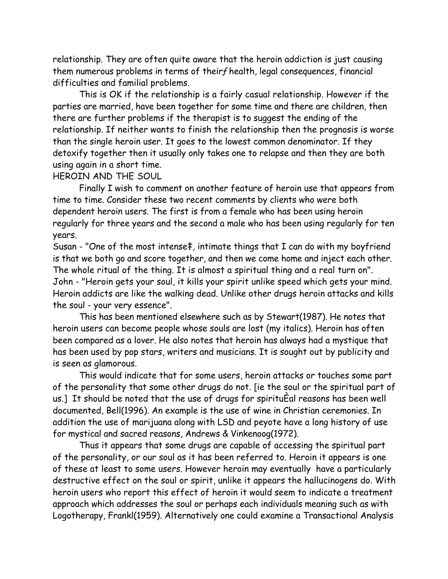relationship. They are often quite aware that the heroin addiction is just causing them numerous problems in terms of theirƒ health, legal consequences, financial difficulties and familial problems.

This is OK if the relationship is a fairly casual relationship. However if the parties are married, have been together for some time and there are children, then there are further problems if the therapist is to suggest the ending of the relationship. If neither wants to finish the relationship then the prognosis is worse than the single heroin user. It goes to the lowest common denominator. If they detoxify together then it usually only takes one to relapse and then they are both using again in a short time.

## HEROIN AND THE SOUL

Finally I wish to comment on another feature of heroin use that appears from time to time. Consider these two recent comments by clients who were both dependent heroin users. The first is from a female who has been using heroin regularly for three years and the second a male who has been using regularly for ten years.

Susan - "One of the most intense‡, intimate things that I can do with my boyfriend is that we both go and score together, and then we come home and inject each other. The whole ritual of the thing. It is almost a spiritual thing and a real turn on". John - "Heroin gets your soul, it kills your spirit unlike speed which gets your mind. Heroin addicts are like the walking dead. Unlike other drugs heroin attacks and kills the soul - your very essence".

This has been mentioned elsewhere such as by Stewart(1987). He notes that heroin users can become people whose souls are lost (my italics). Heroin has often been compared as a lover. He also notes that heroin has always had a mystique that has been used by pop stars, writers and musicians. It is sought out by publicity and is seen as glamorous.

This would indicate that for some users, heroin attacks or touches some part of the personality that some other drugs do not. [ie the soul or the spiritual part of us.] It should be noted that the use of drugs for spirituÈal reasons has been well documented, Bell(1996). An example is the use of wine in Christian ceremonies. In addition the use of marijuana along with LSD and peyote have a long history of use for mystical and sacred reasons, Andrews & Vinkenoog(1972).

Thus it appears that some drugs are capable of accessing the spiritual part of the personality, or our soul as it has been referred to. Heroin it appears is one of these at least to some users. However heroin may eventually have a particularly destructive effect on the soul or spirit, unlike it appears the hallucinogens do. With heroin users who report this effect of heroin it would seem to indicate a treatment approach which addresses the soul or perhaps each individuals meaning such as with Logotherapy, Frankl(1959). Alternatively one could examine a Transactional Analysis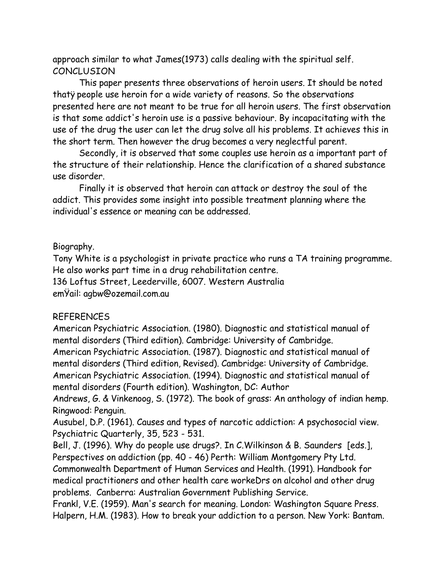approach similar to what James(1973) calls dealing with the spiritual self. CONCLUSION

This paper presents three observations of heroin users. It should be noted thatÿ people use heroin for a wide variety of reasons. So the observations presented here are not meant to be true for all heroin users. The first observation is that some addict's heroin use is a passive behaviour. By incapacitating with the use of the drug the user can let the drug solve all his problems. It achieves this in the short term. Then however the drug becomes a very neglectful parent.

Secondly, it is observed that some couples use heroin as a important part of the structure of their relationship. Hence the clarification of a shared substance use disorder.

Finally it is observed that heroin can attack or destroy the soul of the addict. This provides some insight into possible treatment planning where the individual's essence or meaning can be addressed.

## Biography.

Tony White is a psychologist in private practice who runs a TA training programme. He also works part time in a drug rehabilitation centre. 136 Loftus Street, Leederville, 6007. Western Australia

emŸail: agbw@ozemail.com.au

# REFERENCES

American Psychiatric Association. (1980). Diagnostic and statistical manual of mental disorders (Third edition). Cambridge: University of Cambridge. American Psychiatric Association. (1987). Diagnostic and statistical manual of mental disorders (Third edition, Revised). Cambridge: University of Cambridge. American Psychiatric Association. (1994). Diagnostic and statistical manual of mental disorders (Fourth edition). Washington, DC: Author

Andrews, G. & Vinkenoog, S. (1972). The book of grass: An anthology of indian hemp. Ringwood: Penguin.

Ausubel, D.P. (1961). Causes and types of narcotic addiction: A psychosocial view. Psychiatric Quarterly, 35, 523 - 531.

Bell, J. (1996). Why do people use drugs?. In C.Wilkinson & B. Saunders [eds.], Perspectives on addiction (pp. 40 - 46) Perth: William Montgomery Pty Ltd. Commonwealth Department of Human Services and Health. (1991). Handbook for

medical practitioners and other health care workeDrs on alcohol and other drug problems. Canberra: Australian Government Publishing Service.

Frankl, V.E. (1959). Man's search for meaning. London: Washington Square Press. Halpern, H.M. (1983). How to break your addiction to a person. New York: Bantam.